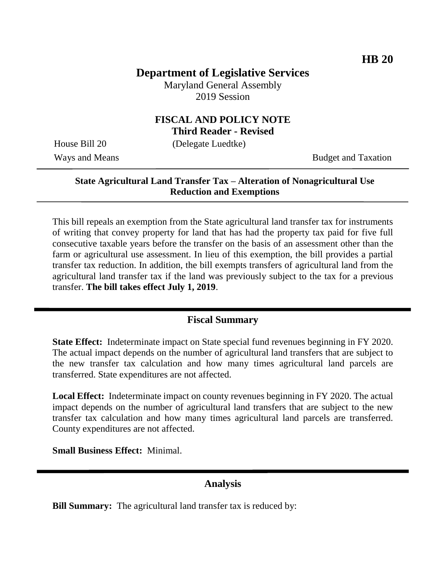# **Department of Legislative Services**

Maryland General Assembly 2019 Session

### **FISCAL AND POLICY NOTE Third Reader - Revised**

House Bill 20 (Delegate Luedtke)

Ways and Means Budget and Taxation

### **State Agricultural Land Transfer Tax – Alteration of Nonagricultural Use Reduction and Exemptions**

This bill repeals an exemption from the State agricultural land transfer tax for instruments of writing that convey property for land that has had the property tax paid for five full consecutive taxable years before the transfer on the basis of an assessment other than the farm or agricultural use assessment. In lieu of this exemption, the bill provides a partial transfer tax reduction. In addition, the bill exempts transfers of agricultural land from the agricultural land transfer tax if the land was previously subject to the tax for a previous transfer. **The bill takes effect July 1, 2019**.

## **Fiscal Summary**

**State Effect:** Indeterminate impact on State special fund revenues beginning in FY 2020. The actual impact depends on the number of agricultural land transfers that are subject to the new transfer tax calculation and how many times agricultural land parcels are transferred. State expenditures are not affected.

**Local Effect:** Indeterminate impact on county revenues beginning in FY 2020. The actual impact depends on the number of agricultural land transfers that are subject to the new transfer tax calculation and how many times agricultural land parcels are transferred. County expenditures are not affected.

**Small Business Effect:** Minimal.

# **Analysis**

**Bill Summary:** The agricultural land transfer tax is reduced by: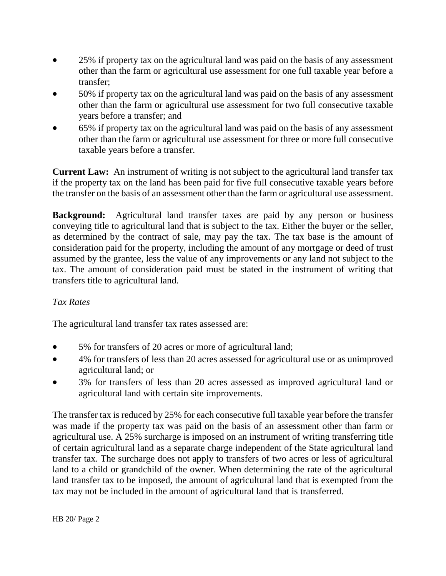- 25% if property tax on the agricultural land was paid on the basis of any assessment other than the farm or agricultural use assessment for one full taxable year before a transfer;
- 50% if property tax on the agricultural land was paid on the basis of any assessment other than the farm or agricultural use assessment for two full consecutive taxable years before a transfer; and
- 65% if property tax on the agricultural land was paid on the basis of any assessment other than the farm or agricultural use assessment for three or more full consecutive taxable years before a transfer.

**Current Law:** An instrument of writing is not subject to the agricultural land transfer tax if the property tax on the land has been paid for five full consecutive taxable years before the transfer on the basis of an assessment other than the farm or agricultural use assessment.

**Background:** Agricultural land transfer taxes are paid by any person or business conveying title to agricultural land that is subject to the tax. Either the buyer or the seller, as determined by the contract of sale, may pay the tax. The tax base is the amount of consideration paid for the property, including the amount of any mortgage or deed of trust assumed by the grantee, less the value of any improvements or any land not subject to the tax. The amount of consideration paid must be stated in the instrument of writing that transfers title to agricultural land.

#### *Tax Rates*

The agricultural land transfer tax rates assessed are:

- 5% for transfers of 20 acres or more of agricultural land;
- 4% for transfers of less than 20 acres assessed for agricultural use or as unimproved agricultural land; or
- 3% for transfers of less than 20 acres assessed as improved agricultural land or agricultural land with certain site improvements.

The transfer tax is reduced by 25% for each consecutive full taxable year before the transfer was made if the property tax was paid on the basis of an assessment other than farm or agricultural use. A 25% surcharge is imposed on an instrument of writing transferring title of certain agricultural land as a separate charge independent of the State agricultural land transfer tax. The surcharge does not apply to transfers of two acres or less of agricultural land to a child or grandchild of the owner. When determining the rate of the agricultural land transfer tax to be imposed, the amount of agricultural land that is exempted from the tax may not be included in the amount of agricultural land that is transferred.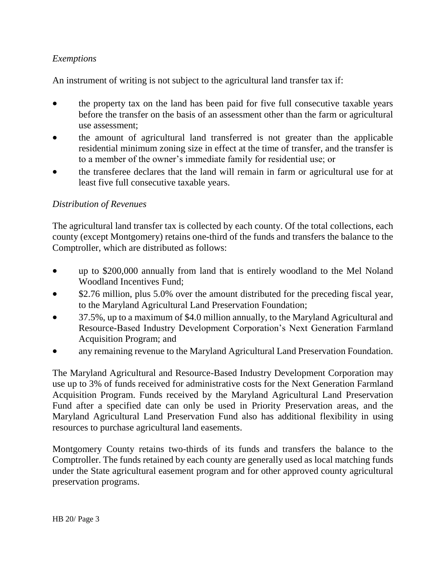## *Exemptions*

An instrument of writing is not subject to the agricultural land transfer tax if:

- the property tax on the land has been paid for five full consecutive taxable years before the transfer on the basis of an assessment other than the farm or agricultural use assessment;
- the amount of agricultural land transferred is not greater than the applicable residential minimum zoning size in effect at the time of transfer, and the transfer is to a member of the owner's immediate family for residential use; or
- the transferee declares that the land will remain in farm or agricultural use for at least five full consecutive taxable years.

#### *Distribution of Revenues*

The agricultural land transfer tax is collected by each county. Of the total collections, each county (except Montgomery) retains one-third of the funds and transfers the balance to the Comptroller, which are distributed as follows:

- up to \$200,000 annually from land that is entirely woodland to the Mel Noland Woodland Incentives Fund;
- \$2.76 million, plus 5.0% over the amount distributed for the preceding fiscal year, to the Maryland Agricultural Land Preservation Foundation;
- 37.5%, up to a maximum of \$4.0 million annually, to the Maryland Agricultural and Resource-Based Industry Development Corporation's Next Generation Farmland Acquisition Program; and
- any remaining revenue to the Maryland Agricultural Land Preservation Foundation.

The Maryland Agricultural and Resource-Based Industry Development Corporation may use up to 3% of funds received for administrative costs for the Next Generation Farmland Acquisition Program. Funds received by the Maryland Agricultural Land Preservation Fund after a specified date can only be used in Priority Preservation areas, and the Maryland Agricultural Land Preservation Fund also has additional flexibility in using resources to purchase agricultural land easements.

Montgomery County retains two-thirds of its funds and transfers the balance to the Comptroller. The funds retained by each county are generally used as local matching funds under the State agricultural easement program and for other approved county agricultural preservation programs.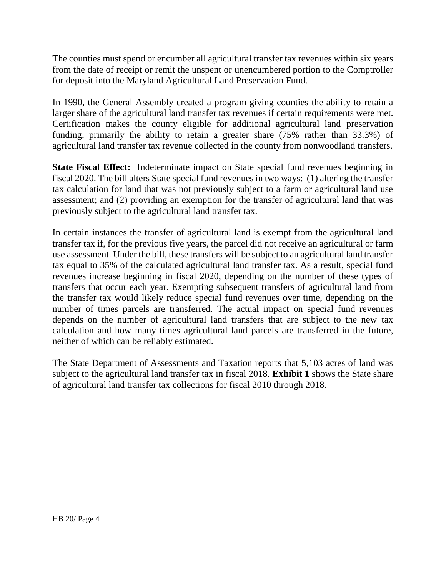The counties must spend or encumber all agricultural transfer tax revenues within six years from the date of receipt or remit the unspent or unencumbered portion to the Comptroller for deposit into the Maryland Agricultural Land Preservation Fund.

In 1990, the General Assembly created a program giving counties the ability to retain a larger share of the agricultural land transfer tax revenues if certain requirements were met. Certification makes the county eligible for additional agricultural land preservation funding, primarily the ability to retain a greater share (75% rather than 33.3%) of agricultural land transfer tax revenue collected in the county from nonwoodland transfers.

**State Fiscal Effect:** Indeterminate impact on State special fund revenues beginning in fiscal 2020. The bill alters State special fund revenues in two ways: (1) altering the transfer tax calculation for land that was not previously subject to a farm or agricultural land use assessment; and (2) providing an exemption for the transfer of agricultural land that was previously subject to the agricultural land transfer tax.

In certain instances the transfer of agricultural land is exempt from the agricultural land transfer tax if, for the previous five years, the parcel did not receive an agricultural or farm use assessment. Under the bill, these transfers will be subject to an agricultural land transfer tax equal to 35% of the calculated agricultural land transfer tax. As a result, special fund revenues increase beginning in fiscal 2020, depending on the number of these types of transfers that occur each year. Exempting subsequent transfers of agricultural land from the transfer tax would likely reduce special fund revenues over time, depending on the number of times parcels are transferred. The actual impact on special fund revenues depends on the number of agricultural land transfers that are subject to the new tax calculation and how many times agricultural land parcels are transferred in the future, neither of which can be reliably estimated.

The State Department of Assessments and Taxation reports that 5,103 acres of land was subject to the agricultural land transfer tax in fiscal 2018. **Exhibit 1** shows the State share of agricultural land transfer tax collections for fiscal 2010 through 2018.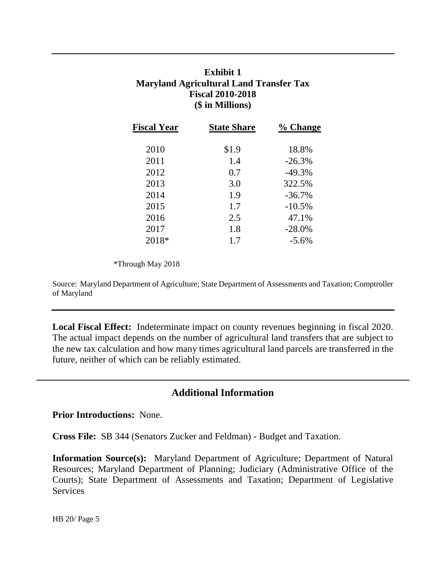# **Exhibit 1 Maryland Agricultural Land Transfer Tax Fiscal 2010-2018 (\$ in Millions)**

| <b>Fiscal Year</b> | <b>State Share</b> | % Change |
|--------------------|--------------------|----------|
| 2010               | \$1.9              | 18.8%    |
| 2011               | 1.4                | $-26.3%$ |
| 2012               | 0.7                | $-49.3%$ |
| 2013               | 3.0                | 322.5%   |
| 2014               | 1.9                | $-36.7%$ |
| 2015               | 1.7                | $-10.5%$ |
| 2016               | 2.5                | 47.1%    |
| 2017               | 1.8                | $-28.0%$ |
| 2018*              | 1.7                | $-5.6\%$ |

\*Through May 2018

Source: Maryland Department of Agriculture; State Department of Assessments and Taxation; Comptroller of Maryland

**Local Fiscal Effect:** Indeterminate impact on county revenues beginning in fiscal 2020. The actual impact depends on the number of agricultural land transfers that are subject to the new tax calculation and how many times agricultural land parcels are transferred in the future, neither of which can be reliably estimated.

#### **Additional Information**

**Prior Introductions:** None.

**Cross File:** SB 344 (Senators Zucker and Feldman) - Budget and Taxation.

**Information Source(s):** Maryland Department of Agriculture; Department of Natural Resources; Maryland Department of Planning; Judiciary (Administrative Office of the Courts); State Department of Assessments and Taxation; Department of Legislative Services

HB 20/ Page 5